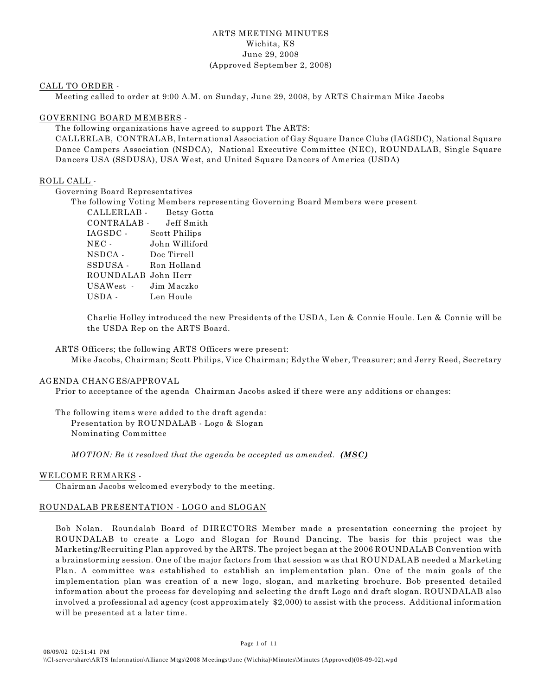### ARTS MEETING MINUTES Wichita, KS June 29, 2008 (Approved September 2, 2008)

### CALL TO ORDER -

Meeting called to order at 9:00 A.M. on Sunday, June 29, 2008, by ARTS Chairman Mike Jacobs

### GOVERNING BOARD MEMBERS -

The following organizations have agreed to support The ARTS:

CALLERLAB, CONTRALAB, International Association of Gay Square Dance Clubs (IAGSDC), National Square Dance Campers Association (NSDCA), National Executive Committee (NEC), ROUNDALAB, Single Square Dancers USA (SSDUSA), USA West, and United Square Dancers of America (USDA)

### ROLL CALL -

Governing Board Representatives

The following Voting Members representing Governing Board Members were present

| CALLERLAB -               | Betsy Gotta    |
|---------------------------|----------------|
| CONTRALAB -               | Jeff Smith     |
| $_{\mathrm{IAGSDC}}$ .    | Scott Philips  |
| $NEC$ -                   | John Williford |
| NSDCA -                   | Doc Tirrell    |
| $\operatorname{SSDUSA}$ . | Ron Holland    |
| ROUNDALAB John Herr       |                |
| USAWest -                 | Jim Maczko     |
| USDA -                    | Len Houle      |

Charlie Holley introduced the new Presidents of the USDA, Len & Connie Houle. Len & Connie will be the USDA Rep on the ARTS Board.

ARTS Officers; the following ARTS Officers were present: Mike Jacobs, Chairman; Scott Philips, Vice Chairman; Edythe Weber, Treasurer; and Jerry Reed, Secretary

### AGENDA CHANGES/APPROVAL

Prior to acceptance of the agenda Chairman Jacobs asked if there were any additions or changes:

The following items were added to the draft agenda: Presentation by ROUNDALAB - Logo & Slogan Nominating Committee

*MOTION: Be it resolved that the agenda be accepted as amended. (MSC)*

### WELCOME REMARKS -

Chairman Jacobs welcomed everybody to the meeting.

### ROUNDALAB PRESENTATION - LOGO and SLOGAN

Bob Nolan. Roundalab Board of DIRECTORS Member made a presentation concerning the project by ROUNDALAB to create a Logo and Slogan for Round Dancing. The basis for this project was the Marketing/Recruiting Plan approved by the ARTS. The project began at the 2006 ROUNDALAB Convention with a brainstorming session. One of the major factors from that session was that ROUNDALAB needed a Marketing Plan. A committee was established to establish an implementation plan. One of the main goals of the implementation plan was creation of a new logo, slogan, and marketing brochure. Bob presented detailed information about the process for developing and selecting the draft Logo and draft slogan. ROUNDALAB also involved a professional ad agency (cost approximately \$2,000) to assist with the process. Additional information will be presented at a later time.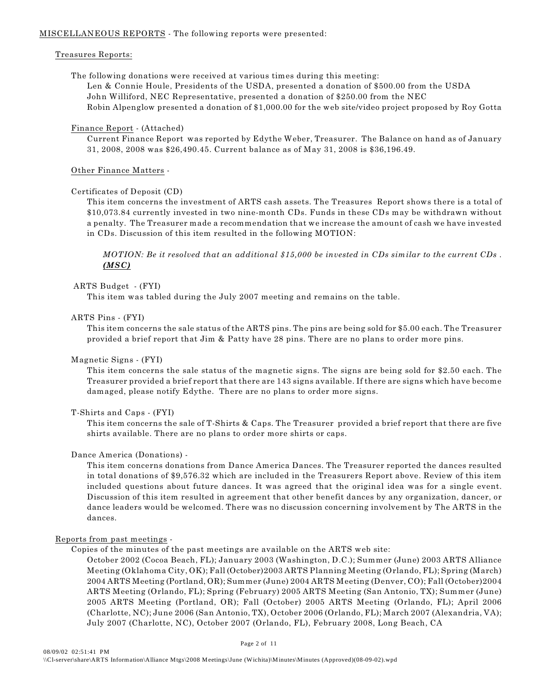### MISCELLANEOUS REPORTS - The following reports were presented:

### Treasures Reports:

The following donations were received at various times during this meeting: Len & Connie Houle, Presidents of the USDA, presented a donation of \$500.00 from the USDA John Williford, NEC Representative, presented a donation of \$250.00 from the NEC Robin Alpenglow presented a donation of \$1,000.00 for the web site/video project proposed by Roy Gotta

### Finance Report - (Attached)

Current Finance Report was reported by Edythe Weber, Treasurer. The Balance on hand as of January 31, 2008, 2008 was \$26,490.45. Current balance as of May 31, 2008 is \$36,196.49.

### Other Finance Matters -

### Certificates of Deposit (CD)

This item concerns the investment of ARTS cash assets. The Treasures Report shows there is a total of \$10,073.84 currently invested in two nine-month CDs. Funds in these CDs may be withdrawn without a penalty. The Treasurer made a recommendation that we increase the amount of cash we have invested in CDs. Discussion of this item resulted in the following MOTION:

*MOTION: Be it resolved that an additional \$15,000 be invested in CDs similar to the current CDs . (MSC)*

### ARTS Budget - (FYI)

This item was tabled during the July 2007 meeting and remains on the table.

### ARTS Pins - (FYI)

This item concerns the sale status of the ARTS pins. The pins are being sold for \$5.00 each. The Treasurer provided a brief report that Jim & Patty have 28 pins. There are no plans to order more pins.

### Magnetic Signs - (FYI)

This item concerns the sale status of the magnetic signs. The signs are being sold for \$2.50 each. The Treasurer provided a brief report that there are 143 signs available. If there are signs which have become damaged, please notify Edythe. There are no plans to order more signs.

### T-Shirts and Caps - (FYI)

This item concerns the sale of T-Shirts & Caps. The Treasurer provided a brief report that there are five shirts available. There are no plans to order more shirts or caps.

### Dance America (Donations) -

This item concerns donations from Dance America Dances. The Treasurer reported the dances resulted in total donations of \$9,576.32 which are included in the Treasurers Report above. Review of this item included questions about future dances. It was agreed that the original idea was for a single event. Discussion of this item resulted in agreement that other benefit dances by any organization, dancer, or dance leaders would be welcomed. There was no discussion concerning involvement by The ARTS in the dances.

### Reports from past meetings -

Copies of the minutes of the past meetings are available on the ARTS web site:

October 2002 (Cocoa Beach, FL); January 2003 (Washington, D.C.); Summer (June) 2003 ARTS Alliance Meeting (Oklahoma City, OK); Fall (October)2003 ARTS Planning Meeting (Orlando, FL); Spring (March) 2004 ARTS Meeting (Portland, OR); Summer (June) 2004 ARTS Meeting (Denver, CO); Fall (October)2004 ARTS Meeting (Orlando, FL); Spring (February) 2005 ARTS Meeting (San Antonio, TX); Summer (June) 2005 ARTS Meeting (Portland, OR); Fall (October) 2005 ARTS Meeting (Orlando, FL); April 2006 (Charlotte, NC); June 2006 (San Antonio, TX), October 2006 (Orlando, FL); March 2007 (Alexandria, VA); July 2007 (Charlotte, NC), October 2007 (Orlando, FL), February 2008, Long Beach, CA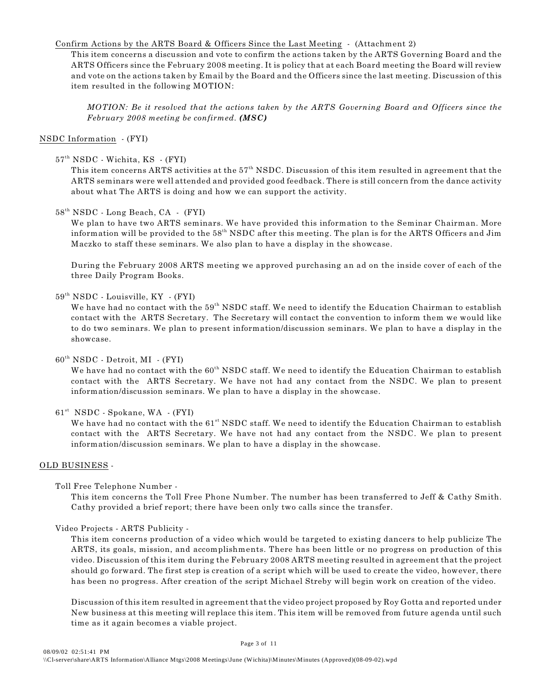### Confirm Actions by the ARTS Board & Officers Since the Last Meeting - (Attachment 2)

This item concerns a discussion and vote to confirm the actions taken by the ARTS Governing Board and the ARTS Officers since the February 2008 meeting. It is policy that at each Board meeting the Board will review and vote on the actions taken by Email by the Board and the Officers since the last meeting. Discussion of this item resulted in the following MOTION:

*MOTION: Be it resolved that the actions taken by the ARTS Governing Board and Officers since the February 2008 meeting be confirmed. (MSC)*

### NSDC Information - (FYI)

57<sup>th</sup> NSDC - Wichita, KS - (FYI)

This item concerns ARTS activities at the  $57<sup>th</sup>$  NSDC. Discussion of this item resulted in agreement that the ARTS seminars were well attended and provided good feedback. There is still concern from the dance activity about what The ARTS is doing and how we can support the activity.

### $58<sup>th</sup> NSDC$  - Long Beach, CA - (FYI)

We plan to have two ARTS seminars. We have provided this information to the Seminar Chairman. More information will be provided to the  $58<sup>th</sup>$  NSDC after this meeting. The plan is for the ARTS Officers and Jim Maczko to staff these seminars. We also plan to have a display in the showcase.

During the February 2008 ARTS meeting we approved purchasing an ad on the inside cover of each of the three Daily Program Books.

### $59<sup>th</sup> NSDC$  - Louisville, KY - (FYI)

We have had no contact with the  $59<sup>th</sup> NSDC$  staff. We need to identify the Education Chairman to establish contact with the ARTS Secretary. The Secretary will contact the convention to inform them we would like to do two seminars. We plan to present information/discussion seminars. We plan to have a display in the showcase.

### $60<sup>th</sup> NSDC - Detroit, MI - (FYI)$

We have had no contact with the  $60<sup>th</sup> NSDC$  staff. We need to identify the Education Chairman to establish contact with the ARTS Secretary. We have not had any contact from the NSDC. We plan to present information/discussion seminars. We plan to have a display in the showcase.

### $61<sup>st</sup> NSDC - Soblane, WA - (FYI)$

We have had no contact with the  $61^{st}$  NSDC staff. We need to identify the Education Chairman to establish contact with the ARTS Secretary. We have not had any contact from the NSDC. We plan to present information/discussion seminars. We plan to have a display in the showcase.

### OLD BUSINESS -

Toll Free Telephone Number -

This item concerns the Toll Free Phone Number. The number has been transferred to Jeff & Cathy Smith. Cathy provided a brief report; there have been only two calls since the transfer.

### Video Projects - ARTS Publicity -

This item concerns production of a video which would be targeted to existing dancers to help publicize The ARTS, its goals, mission, and accomplishments. There has been little or no progress on production of this video. Discussion of this item during the February 2008 ARTS meeting resulted in agreement that the project should go forward. The first step is creation of a script which will be used to create the video, however, there has been no progress. After creation of the script Michael Streby will begin work on creation of the video.

Discussion of this item resulted in agreement that the video project proposed by Roy Gotta and reported under New business at this meeting will replace this item. This item will be removed from future agenda until such time as it again becomes a viable project.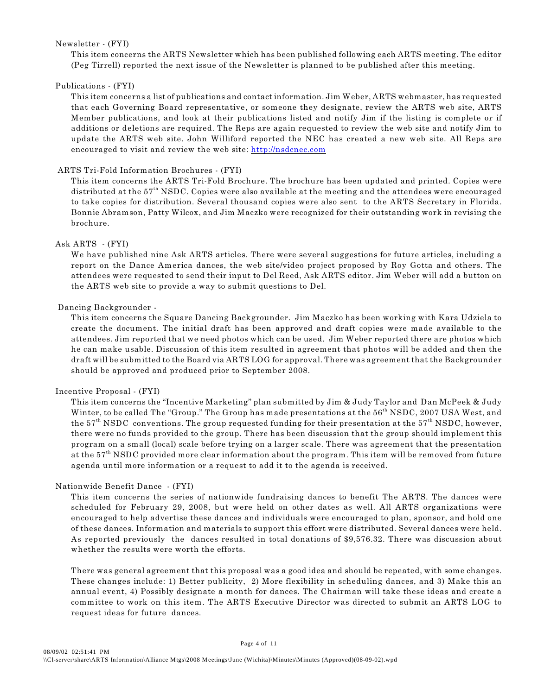### Newsletter - (FYI)

This item concerns the ARTS Newsletter which has been published following each ARTS meeting. The editor (Peg Tirrell) reported the next issue of the Newsletter is planned to be published after this meeting.

### Publications - (FYI)

This item concerns a list of publications and contact information. Jim Weber, ARTS webmaster, has requested that each Governing Board representative, or someone they designate, review the ARTS web site, ARTS Member publications, and look at their publications listed and notify Jim if the listing is complete or if additions or deletions are required. The Reps are again requested to review the web site and notify Jim to update the ARTS web site. John Williford reported the NEC has created a new web site. All Reps are encouraged to visit and review the web site: [http://nsdcnec.com](http://nsdcnec.com/)

### ARTS Tri-Fold Information Brochures - (FYI)

This item concerns the ARTS Tri-Fold Brochure. The brochure has been updated and printed. Copies were distributed at the  $57<sup>th</sup>$  NSDC. Copies were also available at the meeting and the attendees were encouraged to take copies for distribution. Several thousand copies were also sent to the ARTS Secretary in Florida. Bonnie Abramson, Patty Wilcox, and Jim Maczko were recognized for their outstanding work in revising the brochure.

### Ask ARTS - (FYI)

We have published nine Ask ARTS articles. There were several suggestions for future articles, including a report on the Dance America dances, the web site/video project proposed by Roy Gotta and others. The attendees were requested to send their input to Del Reed, Ask ARTS editor. Jim Weber will add a button on the ARTS web site to provide a way to submit questions to Del.

### Dancing Backgrounder -

This item concerns the Square Dancing Backgrounder. Jim Maczko has been working with Kara Udziela to create the document. The initial draft has been approved and draft copies were made available to the attendees. Jim reported that we need photos which can be used. Jim Weber reported there are photos which he can make usable. Discussion of this item resulted in agreement that photos will be added and then the draft will be submitted to the Board via ARTS LOG for approval. There was agreement that the Backgrounder should be approved and produced prior to September 2008.

### Incentive Proposal - (FYI)

This item concerns the "Incentive Marketing" plan submitted by Jim & Judy Taylor and Dan McPeek & Judy Winter, to be called The "Group." The Group has made presentations at the  $56<sup>th</sup>$  NSDC, 2007 USA West, and the  $57<sup>th</sup> NSDC$  conventions. The group requested funding for their presentation at the  $57<sup>th</sup> NSDC$ , however, there were no funds provided to the group. There has been discussion that the group should implement this program on a small (local) scale before trying on a larger scale. There was agreement that the presentation at the  $57<sup>th</sup>$  NSDC provided more clear information about the program. This item will be removed from future agenda until more information or a request to add it to the agenda is received.

### Nationwide Benefit Dance - (FYI)

This item concerns the series of nationwide fundraising dances to benefit The ARTS. The dances were scheduled for February 29, 2008, but were held on other dates as well. All ARTS organizations were encouraged to help advertise these dances and individuals were encouraged to plan, sponsor, and hold one of these dances. Information and materials to support this effort were distributed. Several dances were held. As reported previously the dances resulted in total donations of \$9,576.32. There was discussion about whether the results were worth the efforts.

There was general agreement that this proposal was a good idea and should be repeated, with some changes. These changes include: 1) Better publicity, 2) More flexibility in scheduling dances, and 3) Make this an annual event, 4) Possibly designate a month for dances. The Chairman will take these ideas and create a committee to work on this item. The ARTS Executive Director was directed to submit an ARTS LOG to request ideas for future dances.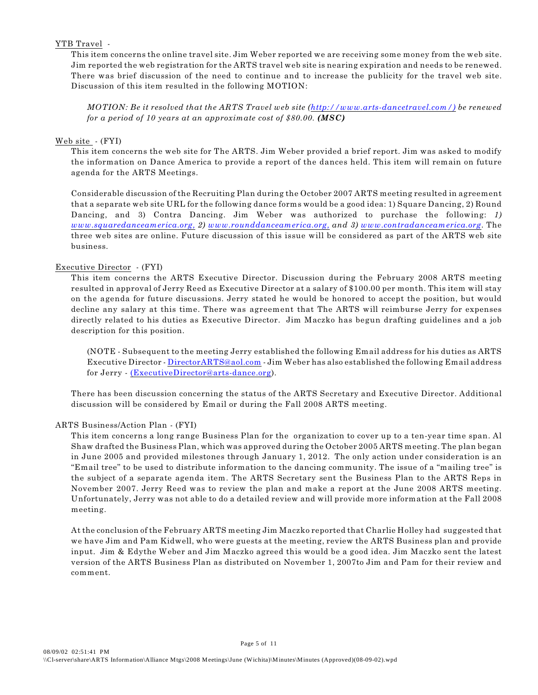### YTB Travel -

This item concerns the online travel site. Jim Weber reported we are receiving some money from the web site. Jim reported the web registration for the ARTS travel web site is nearing expiration and needs to be renewed. There was brief discussion of the need to continue and to increase the publicity for the travel web site. Discussion of this item resulted in the following MOTION:

*MOTION: Be it resolved that the ARTS Travel web site [\(http://www.arts-dancetravel.com/\)](http://(http://www.arts-dancetravel.com/)) be renewed for a period of 10 years at an approximate cost of \$80.00. (MSC)*

### Web site - (FYI)

This item concerns the web site for The ARTS. Jim Weber provided a brief report. Jim was asked to modify the information on Dance America to provide a report of the dances held. This item will remain on future agenda for the ARTS Meetings.

Considerable discussion of the Recruiting Plan during the October 2007 ARTS meeting resulted in agreement that a separate web site URL for the following dance forms would be a good idea: 1) Square Dancing, 2) Round Dancing, and 3) Contra Dancing. Jim Weber was authorized to purchase the following: *1) [www.squaredanceamerica.org,](http://www.squaredanceamerica.org,) 2) [www.rounddanceamerica.org,](http://www.rounddanceamerica.org,) and 3) [www.contradanceamerica.org](http://www.contradanceamerica.org)*. The three web sites are online. Future discussion of this issue will be considered as part of the ARTS web site business.

### Executive Director - (FYI)

This item concerns the ARTS Executive Director. Discussion during the February 2008 ARTS meeting resulted in approval of Jerry Reed as Executive Director at a salary of \$100.00 per month. This item will stay on the agenda for future discussions. Jerry stated he would be honored to accept the position, but would decline any salary at this time. There was agreement that The ARTS will reimburse Jerry for expenses directly related to his duties as Executive Director. Jim Maczko has begun drafting guidelines and a job description for this position.

(NOTE - Subsequent to the meeting Jerry established the following Email address for his duties as ARTS Executive Director - [DirectorARTS@aol.com](mailto:DirectorARTS@aol.com) - Jim Weber has also established the following Email address for Jerry - [\(ExecutiveDirector@arts-dance.org](mailto:ExecutiveDirector@arts-dance.org)).

There has been discussion concerning the status of the ARTS Secretary and Executive Director. Additional discussion will be considered by Email or during the Fall 2008 ARTS meeting.

### ARTS Business/Action Plan - (FYI)

This item concerns a long range Business Plan for the organization to cover up to a ten-year time span. Al Shaw drafted the Business Plan, which was approved during the October 2005 ARTS meeting. The plan began in June 2005 and provided milestones through January 1, 2012. The only action under consideration is an "Email tree" to be used to distribute information to the dancing community. The issue of a "mailing tree" is the subject of a separate agenda item. The ARTS Secretary sent the Business Plan to the ARTS Reps in November 2007. Jerry Reed was to review the plan and make a report at the June 2008 ARTS meeting. Unfortunately, Jerry was not able to do a detailed review and will provide more information at the Fall 2008 meeting.

At the conclusion of the February ARTS meeting Jim Maczko reported that Charlie Holley had suggested that we have Jim and Pam Kidwell, who were guests at the meeting, review the ARTS Business plan and provide input. Jim & Edythe Weber and Jim Maczko agreed this would be a good idea. Jim Maczko sent the latest version of the ARTS Business Plan as distributed on November 1, 2007to Jim and Pam for their review and comment.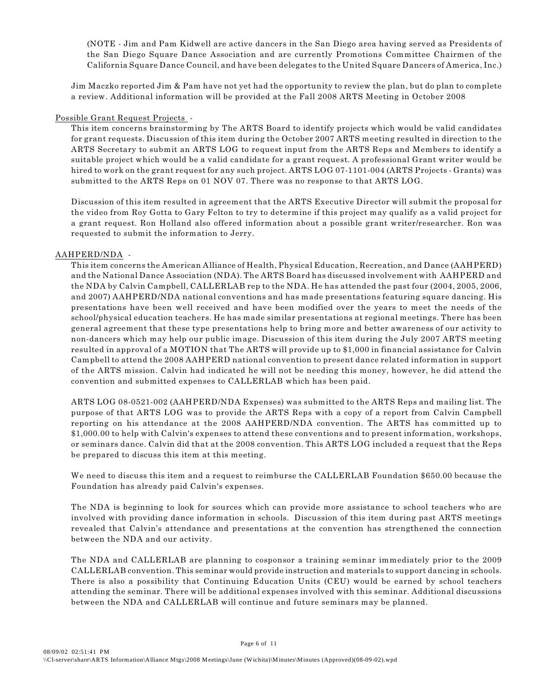(NOTE - Jim and Pam Kidwell are active dancers in the San Diego area having served as Presidents of the San Diego Square Dance Association and are currently Promotions Committee Chairmen of the California Square Dance Council, and have been delegates to the United Square Dancers of America, Inc.)

Jim Maczko reported Jim & Pam have not yet had the opportunity to review the plan, but do plan to complete a review. Additional information will be provided at the Fall 2008 ARTS Meeting in October 2008

### Possible Grant Request Projects -

This item concerns brainstorming by The ARTS Board to identify projects which would be valid candidates for grant requests. Discussion of this item during the October 2007 ARTS meeting resulted in direction to the ARTS Secretary to submit an ARTS LOG to request input from the ARTS Reps and Members to identify a suitable project which would be a valid candidate for a grant request. A professional Grant writer would be hired to work on the grant request for any such project. ARTS LOG 07-1101-004 (ARTS Projects - Grants) was submitted to the ARTS Reps on 01 NOV 07. There was no response to that ARTS LOG.

Discussion of this item resulted in agreement that the ARTS Executive Director will submit the proposal for the video from Roy Gotta to Gary Felton to try to determine if this project may qualify as a valid project for a grant request. Ron Holland also offered information about a possible grant writer/researcher. Ron was requested to submit the information to Jerry.

### AAHPERD/NDA -

This item concerns the American Alliance of Health, Physical Education, Recreation, and Dance (AAHPERD) and the National Dance Association (NDA). The ARTS Board has discussed involvement with AAHPERD and the NDA by Calvin Campbell, CALLERLAB rep to the NDA. He has attended the past four (2004, 2005, 2006, and 2007) AAHPERD/NDA national conventions and has made presentations featuring square dancing. His presentations have been well received and have been modified over the years to meet the needs of the school/physical education teachers. He has made similar presentations at regional meetings. There has been general agreement that these type presentations help to bring more and better awareness of our activity to non-dancers which may help our public image. Discussion of this item during the July 2007 ARTS meeting resulted in approval of a MOTION that The ARTS will provide up to \$1,000 in financial assistance for Calvin Campbell to attend the 2008 AAHPERD national convention to present dance related information in support of the ARTS mission. Calvin had indicated he will not be needing this money, however, he did attend the convention and submitted expenses to CALLERLAB which has been paid.

ARTS LOG 08-0521-002 (AAHPERD/NDA Expenses) was submitted to the ARTS Reps and mailing list. The purpose of that ARTS LOG was to provide the ARTS Reps with a copy of a report from Calvin Campbell reporting on his attendance at the 2008 AAHPERD/NDA convention. The ARTS has committed up to \$1,000.00 to help with Calvin's expenses to attend these conventions and to present information, workshops, or seminars dance. Calvin did that at the 2008 convention. This ARTS LOG included a request that the Reps be prepared to discuss this item at this meeting.

We need to discuss this item and a request to reimburse the CALLERLAB Foundation \$650.00 because the Foundation has already paid Calvin's expenses.

The NDA is beginning to look for sources which can provide more assistance to school teachers who are involved with providing dance information in schools. Discussion of this item during past ARTS meetings revealed that Calvin's attendance and presentations at the convention has strengthened the connection between the NDA and our activity.

The NDA and CALLERLAB are planning to cosponsor a training seminar immediately prior to the 2009 CALLERLAB convention. This seminar would provide instruction and materials to support dancing in schools. There is also a possibility that Continuing Education Units (CEU) would be earned by school teachers attending the seminar. There will be additional expenses involved with this seminar. Additional discussions between the NDA and CALLERLAB will continue and future seminars may be planned.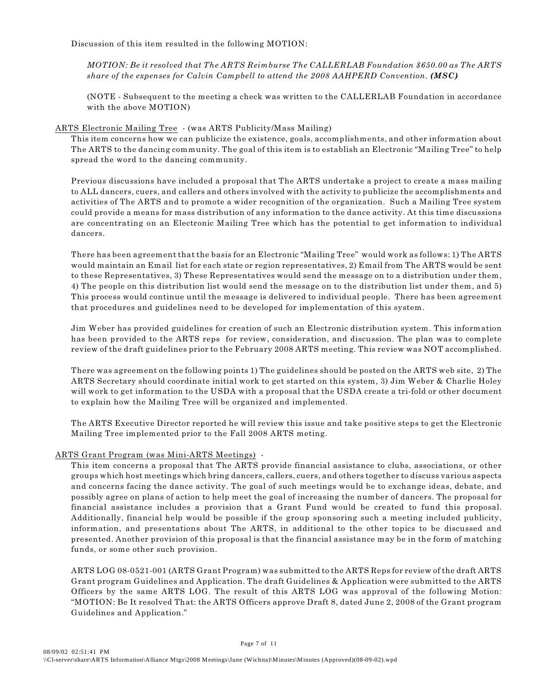Discussion of this item resulted in the following MOTION:

*MOTION: Be it resolved that The ARTS Reimburse The CALLERLAB Foundation \$650.00 as The ARTS share of the expenses for Calvin Campbell to attend the 2008 AAHPERD Convention. (MSC)*

(NOTE - Subsequent to the meeting a check was written to the CALLERLAB Foundation in accordance with the above MOTION)

### ARTS Electronic Mailing Tree - (was ARTS Publicity/Mass Mailing)

This item concerns how we can publicize the existence, goals, accomplishments, and other information about The ARTS to the dancing community. The goal of this item is to establish an Electronic "Mailing Tree" to help spread the word to the dancing community.

Previous discussions have included a proposal that The ARTS undertake a project to create a mass mailing to ALL dancers, cuers, and callers and others involved with the activity to publicize the accomplishments and activities of The ARTS and to promote a wider recognition of the organization. Such a Mailing Tree system could provide a means for mass distribution of any information to the dance activity. At this time discussions are concentrating on an Electronic Mailing Tree which has the potential to get information to individual dancers.

There has been agreement that the basis for an Electronic "Mailing Tree" would work as follows: 1) The ARTS would maintain an Email list for each state or region representatives, 2) Email from The ARTS would be sent to these Representatives, 3) These Representatives would send the message on to a distribution under them, 4) The people on this distribution list would send the message on to the distribution list under them, and 5) This process would continue until the message is delivered to individual people. There has been agreement that procedures and guidelines need to be developed for implementation of this system.

Jim Weber has provided guidelines for creation of such an Electronic distribution system. This information has been provided to the ARTS reps for review, consideration, and discussion. The plan was to complete review of the draft guidelines prior to the February 2008 ARTS meeting. This review was NOT accomplished.

There was agreement on the following points 1) The guidelines should be posted on the ARTS web site, 2) The ARTS Secretary should coordinate initial work to get started on this system, 3) Jim Weber & Charlie Holey will work to get information to the USDA with a proposal that the USDA create a tri-fold or other document to explain how the Mailing Tree will be organized and implemented.

The ARTS Executive Director reported he will review this issue and take positive steps to get the Electronic Mailing Tree implemented prior to the Fall 2008 ARTS meting.

### ARTS Grant Program (was Mini-ARTS Meetings) -

This item concerns a proposal that The ARTS provide financial assistance to clubs, associations, or other groups which host meetings which bring dancers, callers, cuers, and others together to discuss various aspects and concerns facing the dance activity. The goal of such meetings would be to exchange ideas, debate, and possibly agree on plans of action to help meet the goal of increasing the number of dancers. The proposal for financial assistance includes a provision that a Grant Fund would be created to fund this proposal. Additionally, financial help would be possible if the group sponsoring such a meeting included publicity, information, and presentations about The ARTS, in additional to the other topics to be discussed and presented. Another provision of this proposal is that the financial assistance may be in the form of matching funds, or some other such provision.

ARTS LOG 08-0521-001 (ARTS Grant Program) was submitted to the ARTS Reps for review of the draft ARTS Grant program Guidelines and Application. The draft Guidelines & Application were submitted to the ARTS Officers by the same ARTS LOG. The result of this ARTS LOG was approval of the following Motion: "MOTION: Be It resolved That: the ARTS Officers approve Draft 8, dated June 2, 2008 of the Grant program Guidelines and Application."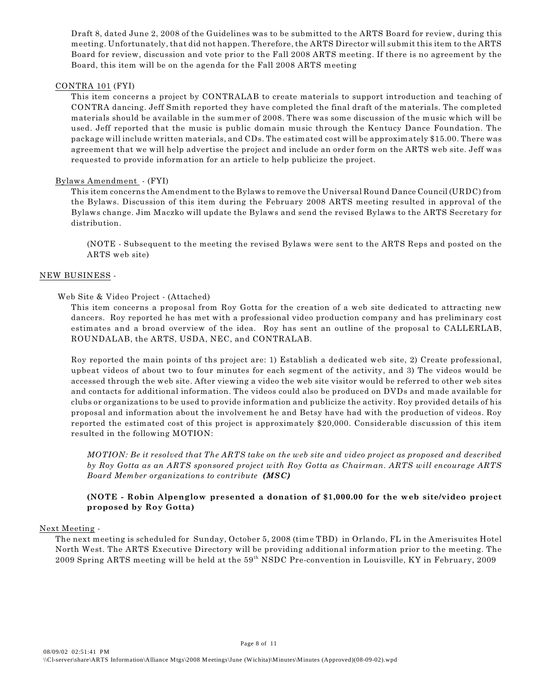Draft 8, dated June 2, 2008 of the Guidelines was to be submitted to the ARTS Board for review, during this meeting. Unfortunately, that did not happen. Therefore, the ARTS Director will submit this item to the ARTS Board for review, discussion and vote prior to the Fall 2008 ARTS meeting. If there is no agreement by the Board, this item will be on the agenda for the Fall 2008 ARTS meeting

### CONTRA 101 (FYI)

This item concerns a project by CONTRALAB to create materials to support introduction and teaching of CONTRA dancing. Jeff Smith reported they have completed the final draft of the materials. The completed materials should be available in the summer of 2008. There was some discussion of the music which will be used. Jeff reported that the music is public domain music through the Kentucy Dance Foundation. The package will include written materials, and CDs. The estimated cost will be approximately \$15.00. There was agreement that we will help advertise the project and include an order form on the ARTS web site. Jeff was requested to provide information for an article to help publicize the project.

### Bylaws Amendment - (FYI)

This item concerns the Amendment to the Bylaws to remove the Universal Round Dance Council (URDC) from the Bylaws. Discussion of this item during the February 2008 ARTS meeting resulted in approval of the Bylaws change. Jim Maczko will update the Bylaws and send the revised Bylaws to the ARTS Secretary for distribution.

(NOTE - Subsequent to the meeting the revised Bylaws were sent to the ARTS Reps and posted on the ARTS web site)

### NEW BUSINESS -

### Web Site & Video Project - (Attached)

This item concerns a proposal from Roy Gotta for the creation of a web site dedicated to attracting new dancers. Roy reported he has met with a professional video production company and has preliminary cost estimates and a broad overview of the idea. Roy has sent an outline of the proposal to CALLERLAB, ROUNDALAB, the ARTS, USDA, NEC, and CONTRALAB.

Roy reported the main points of ths project are: 1) Establish a dedicated web site, 2) Create professional, upbeat videos of about two to four minutes for each segment of the activity, and 3) The videos would be accessed through the web site. After viewing a video the web site visitor would be referred to other web sites and contacts for additional information. The videos could also be produced on DVDs and made available for clubs or organizations to be used to provide information and publicize the activity. Roy provided details of his proposal and information about the involvement he and Betsy have had with the production of videos. Roy reported the estimated cost of this project is approximately \$20,000. Considerable discussion of this item resulted in the following MOTION:

*MOTION: Be it resolved that The ARTS take on the web site and video project as proposed and described by Roy Gotta as an ARTS sponsored project with Roy Gotta as Chairman. ARTS will encourage ARTS Board Member organizations to contribute (MSC)*

### **(NOTE - Robin Alpenglow presented a donation of \$1,000.00 for the web site/video project proposed by Roy Gotta)**

### Next Meeting -

The next meeting is scheduled for Sunday, October 5, 2008 (time TBD) in Orlando, FL in the Amerisuites Hotel North West. The ARTS Executive Directory will be providing additional information prior to the meeting. The 2009 Spring ARTS meeting will be held at the 59<sup>th</sup> NSDC Pre-convention in Louisville, KY in February, 2009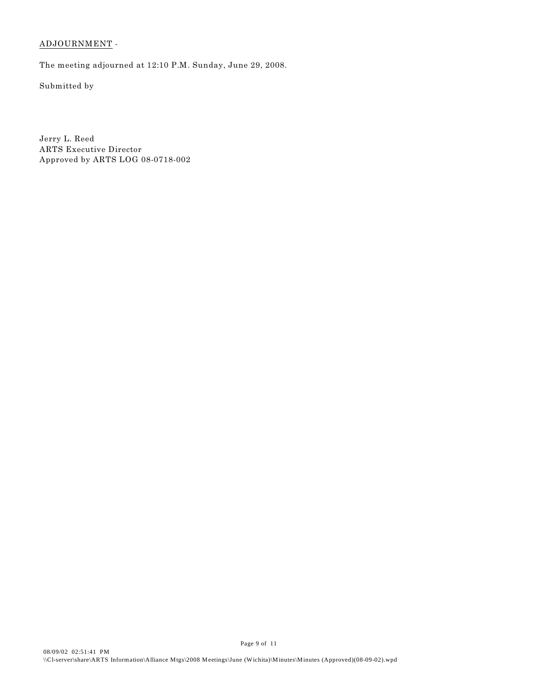### ADJOURNMENT -

The meeting adjourned at 12:10 P.M. Sunday, June 29, 2008.

Submitted by

Jerry L. Reed ARTS Executive Director Approved by ARTS LOG 08-0718-002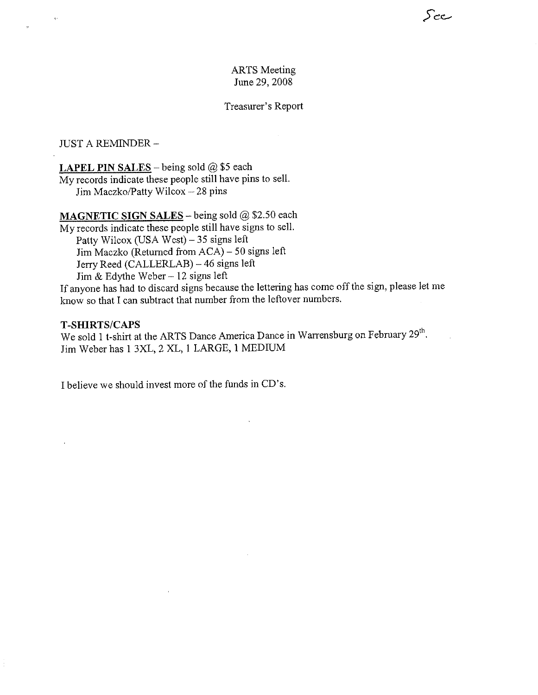### **ARTS** Meeting June 29, 2008

رےج

### Treasurer's Report

**JUST A REMINDER -**

**LAPEL PIN SALES** – being sold  $@$  \$5 each

My records indicate these people still have pins to sell. Jim Maczko/Patty Wilcox  $-28$  pins

## MAGNETIC SIGN SALES - being sold @ \$2.50 each

My records indicate these people still have signs to sell. Patty Wilcox (USA West) - 35 signs left Jim Maczko (Returned from ACA) – 50 signs left Jerry Reed (CALLERLAB) - 46 signs left Jim & Edythe Weber  $-12$  signs left

If anyone has had to discard signs because the lettering has come off the sign, please let me know so that I can subtract that number from the leftover numbers.

### **T-SHIRTS/CAPS**

We sold 1 t-shirt at the ARTS Dance America Dance in Warrensburg on February 29<sup>th</sup>. Jim Weber has 1 3XL, 2 XL, 1 LARGE, 1 MEDIUM

I believe we should invest more of the funds in CD's.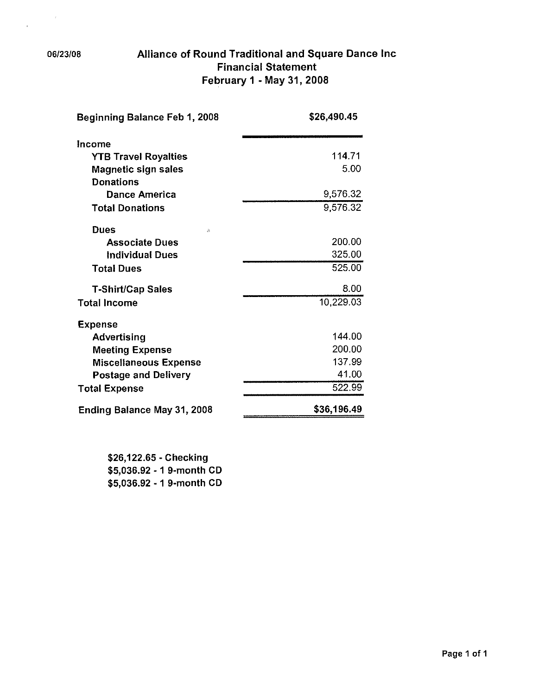### 06/23/08

 $\sim r$ 

 $\bar{\mathbf{z}}$ 

# Alliance of Round Traditional and Square Dance Inc **Financial Statement** February 1 - May 31, 2008

| Beginning Balance Feb 1, 2008 | \$26,490.45 |
|-------------------------------|-------------|
| Income                        |             |
| <b>YTB Travel Royalties</b>   | 114.71      |
| <b>Magnetic sign sales</b>    | 5.00        |
| <b>Donations</b>              |             |
| Dance America                 | 9,576.32    |
| <b>Total Donations</b>        | 9,576.32    |
| Dues<br>Ą.                    |             |
| <b>Associate Dues</b>         | 200,00      |
| <b>Individual Dues</b>        | 325.00      |
| <b>Total Dues</b>             | 525.00      |
| <b>T-Shirt/Cap Sales</b>      | 8.00        |
| <b>Total Income</b>           | 10,229.03   |
| <b>Expense</b>                |             |
| <b>Advertising</b>            | 144.00      |
| <b>Meeting Expense</b>        | 200.00      |
| <b>Miscellaneous Expense</b>  | 137.99      |
| <b>Postage and Delivery</b>   | 41.00       |
| <b>Total Expense</b>          | 522.99      |
| Ending Balance May 31, 2008   | \$36,196.49 |

\$26,122.65 - Checking \$5,036.92 - 1 9-month CD \$5,036.92 - 1 9-month CD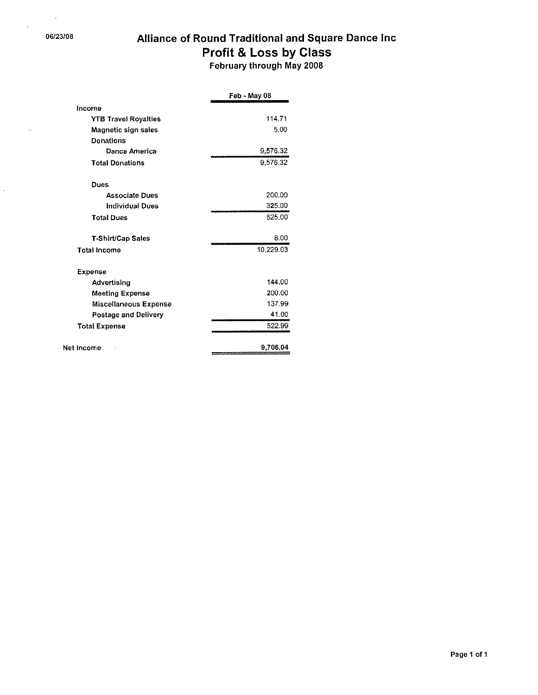$\bar{\mathcal{A}}$ 

 $\lambda$ 

 $\ddot{\phantom{1}}$ 

# Alliance of Round Traditional and Square Dance Inc Profit & Loss by Class

February through May 2008

 $\bar{u}$ 

|                              | Feb - May 08 |
|------------------------------|--------------|
| Income                       |              |
| <b>YTB Travel Royalties</b>  | 114.71       |
| Magnetic sign sales          | 5.00         |
| <b>Donations</b>             |              |
| Dance America                | 9,576.32     |
| <b>Total Donations</b>       | 9.576.32     |
| Dues                         |              |
| <b>Associate Dues</b>        | 200.00       |
| <b>Individual Dues</b>       | 325.00       |
| <b>Total Dues</b>            | 525.00       |
| T-Shirt/Cap Sales            | 8.00         |
| <b>Total Income</b>          | 10.229.03    |
| <b>Expense</b>               |              |
| Advertising                  | 144.00       |
| <b>Meeting Expense</b>       | 200.00       |
| <b>Miscellaneous Expense</b> | 137.99       |
| Postage and Delivery         | 41.00        |
| <b>Total Expense</b>         | 522.99       |
| Net Income                   | 9,706.04     |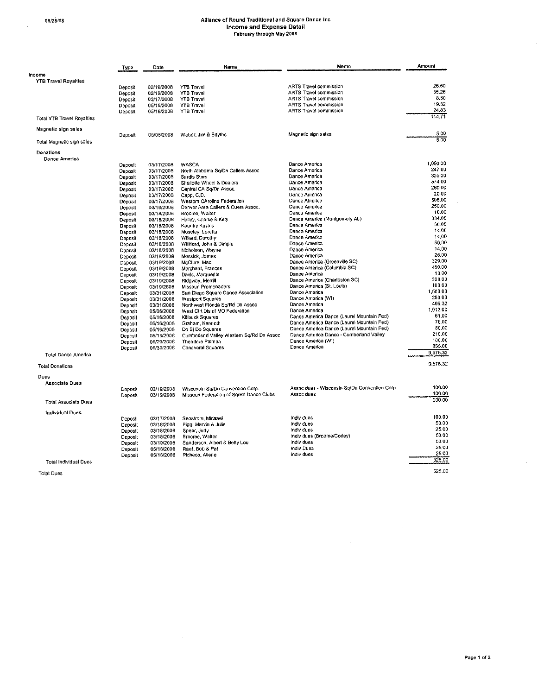$\bar{z}$ 

# Alliance of Round Traditional and Square Dance Inc<br>Income and Expense Detail<br>February through May 2008

|                              | Type           | Date       | Name                                     | Memo                                          | Amount   |
|------------------------------|----------------|------------|------------------------------------------|-----------------------------------------------|----------|
| Income                       |                |            |                                          |                                               |          |
| <b>YTB Travel Royalties</b>  |                |            |                                          |                                               |          |
|                              | Deposit        | 02/19/2008 | <b>YTB Travel</b>                        | <b>ARTS Travel commission</b>                 | 26.50    |
|                              | <b>Deposit</b> | 02/19/2008 | <b>YTB Travel</b>                        | <b>ARTS Travel commission</b>                 | 35.26    |
|                              | Deposit        | 03/17/2008 | <b>YTB Travel</b>                        | <b>ARTS Travel commission</b>                 | 8,50     |
|                              | Deposit        | 05/16/2008 | <b>YTB Travel</b>                        | ARTS Travel commission                        | 19.62    |
|                              | Deposit        | 05/16/2008 | YTB Travel                               | ARTS Travel commission                        | 24,83    |
| Total YTB Travel Royaltles   |                |            |                                          |                                               | 114.71   |
| Magnetic sign sales          |                |            |                                          |                                               |          |
|                              | Deposit        | 05/08/2008 | Weber, Jim & Edythe                      | Magnetic sign sales                           | 5,00     |
| Total Magnetic sign sales    |                |            |                                          |                                               | 5.00     |
| Donations                    |                |            |                                          |                                               |          |
| Dance America                |                |            |                                          |                                               | 1,050.00 |
|                              | Deposit        | 03/17/2008 | <b>WASCA</b>                             | Dance America                                 | 247.00   |
|                              | Deposit        | 03/17/2008 | North Alabama Sq/Dn Callers Assoc        | Dance America                                 | 325,00   |
|                              | Deposit        | 03/17/2008 | Sardis Stars                             | Dance America                                 | 574.00   |
|                              | Deposit        | 03/17/2008 | Shallotte Wheel & Dealers                | Dance America<br>Dance America                | 260.00   |
|                              | Deposit        | 03/17/2008 | Central CA So/Dn Assoc.                  |                                               | 20,00    |
|                              | Deposil        | 03/17/2008 | Capp, C.D.                               | Dance America<br>Dance America                | 506.00   |
|                              | Deposit        | 03/17/2008 | Western CArolina Federation              |                                               | 250.00   |
|                              | Deposit        | 03/18/2008 | Denver Area Callers & Cuers Assoc.       | Dance America                                 | 10.00    |
|                              | Doposit        | 03/18/2008 | Broome, Walter                           | Dance America                                 | 334,00   |
|                              | Deposit        | 03/16/2008 | Holley, Charlie & Kilty                  | Dance America (Montgomery AL)                 | 60.00    |
|                              | Deposit        | 03/18/2008 | Kountry Kuzins                           | Dance America                                 | 14.00    |
|                              | Deposit        | 03/16/2008 | Moseley, Loretta                         | Dance America                                 | 14,00    |
|                              | Deposit        | 03/18/2008 | Willard, Dorothy                         | Dance America                                 | 50.00    |
|                              | Deposit        | 03/18/2008 | Williford, John & Dimple                 | Dance America                                 | 14.00    |
|                              | Doposit        | 03/18/2008 | Nicholson, Wayne                         | Dance America                                 | 25.00    |
|                              | Deposit        | 03/18/2008 | Messick, James                           | Dance America                                 | 329,00   |
|                              | Deposit        | 03/19/2008 | McClure, Mac                             | Dance America (Greenville SC)                 | 460.00   |
|                              | Deposit        | 03/19/2008 | Merchant, Frances                        | Dance America (Columbia SC)                   | 10,00    |
|                              | Deposit        | 03/19/2008 | Davis, Marguerite                        | Dance America                                 | 308.00   |
|                              | Deposit        | 03/19/2008 | Ridgway, Merrill                         | Dance America (Charleston SC)                 | 100.00   |
|                              | Deposit        | 03/19/2808 | Missouri Promenaders                     | Dance America (St. Louis)                     | 1,500.00 |
|                              | Deposit        | 03/31/2008 | San Diego Square Dance Association       | Dance America<br>Dance America (WI)           | 250.00   |
|                              | Deposit        | 03/31/2008 | <b>Westport Squares</b>                  | Dance America                                 | 499.32   |
|                              | Deposit        | 03/31/2008 | Northwest Florida So/Rd Dn Assoc         | Dance America                                 | 1,013.00 |
|                              | Deposit        | 05/06/2008 | West Ctrl Dis of MO Federation           | Dance America Dance (Laurel Mountain Fed)     | 61.00    |
|                              | Deposit        | 05/16/2008 | <b>Killbuck Squares</b>                  | Dance America Dance (Laurel Mountain Fed)     | 76.00    |
|                              | Deposit        | 05/16/2008 | Graham, Kenneth                          |                                               | 50.00    |
|                              | Deposit        | 05/16/2008 | Do Si Do Squares                         | Dance America Dance (Laurel Mountain Fed)     | 210.00   |
|                              | Deposit        | 05/15/2008 | Cumberlend Valley Western Sq/Rd Dn Assoc | Dance America Dance - Cumberland Valley       | 100.00   |
|                              | Deposit        | 05/29/2008 | Theodore Palmen                          | Dance America (WI)<br>Dance America           | 855.00   |
| Total Dance America          | Deposit        | 05/30/2008 | Canaveral Squares                        |                                               | 9,576.32 |
|                              |                |            |                                          |                                               | 9,576.32 |
| <b>Tolal Donations</b>       |                |            |                                          |                                               |          |
| Dues                         |                |            |                                          |                                               |          |
| <b>Associate Dues</b>        |                |            |                                          |                                               |          |
|                              | Deposit        | 02/19/2008 | Wisconsin Sq/Dn Convention Corp.         | Assoc dues - Wisconsin Sq/Dn Convention Corp. | 100.00   |
|                              | Deposit        | 03/19/2008 | Missouri Federation of So/Rd Dance Clubs | Assoc dues                                    | 100,00   |
| <b>Total Associate Dues</b>  |                |            |                                          |                                               | 200.00   |
|                              |                |            |                                          |                                               |          |
| Individual Dues              |                |            |                                          |                                               | 100.00   |
|                              | Deposit        | 03/17/2008 | Seastrom, Michael                        | Indiv dues                                    | 50.00    |
|                              | Deposit        | 03/18/2008 | Pigg, Marvin & Julie                     | Indiv dues                                    | 25,00    |
|                              | Deposit        | 03/18/2008 | Speer, Judy                              | Indiv dues                                    | 50.00    |
|                              | Deposit        | 03/18/2008 | Broome, Walter                           | Indiv dues (Broome/Corley)                    | 50.00    |
|                              | Deposit        | 03/19/2008 | Sanderson, Albert & Betty Lou            | indly dues                                    | 25,00    |
|                              | Deposit        | 05/16/2008 | Raef, Bob & Pat                          | Indiv Dues                                    | 25.00    |
|                              | Deposit        | 05/16/2008 | Picheco, Allene                          | indiv dues                                    | 325.00   |
| <b>Total Individual Dues</b> |                |            |                                          |                                               |          |
| Total Dugo                   |                |            |                                          |                                               | 525.00   |

 $\sim 10^6$ 

 $\sim 10^7$ 

Total Dues

 $\mathcal{A}^{\text{max}}$ 

 $\mathcal{A}^{\mathcal{A}}$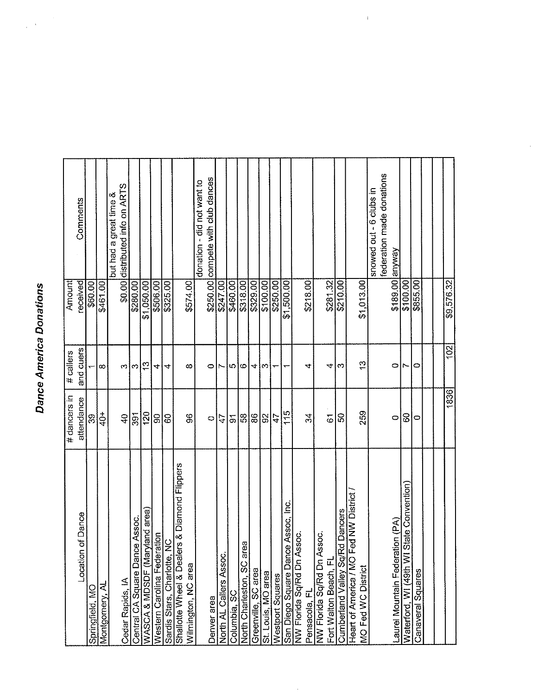# **Dance America Donations**

 $\bar{\mathbf{r}}$  $\bar{\rm s}$ 

ľ

|                                                                     | # dancers in          | # callers     | Amount     |                                                           |
|---------------------------------------------------------------------|-----------------------|---------------|------------|-----------------------------------------------------------|
| of Dance<br>Location                                                | attendance            | and cuers     | received   | Comments                                                  |
| Springfield, MO                                                     | $\mathcal{S}^{\circ}$ |               | \$60.00    |                                                           |
| Montgomery, Al                                                      | $\frac{1}{4}$         | l co          | \$461.00   |                                                           |
| Cedar Rapids, IA                                                    | $\overline{40}$       | S             |            | \$0.00 distributed info on ARTS<br>but had a great time & |
| be Assoc.<br>Central CA Square Dano                                 | $\overline{5}$        | S             | \$280.00   |                                                           |
| yland area<br>WASCA & MDSDF (Mar                                    | 120                   | <u>ုသ</u>     | \$1,050.00 |                                                           |
| ation<br>Western Carolina Feder                                     | န္တု                  | 4             | \$506.00   |                                                           |
| $rac{C}{2}$<br>Sardis Stars, Charlotte,                             | 8                     | 4             | \$325.00   |                                                           |
| Shallotte Wheel & Dealers & Diamond Flippers<br>Wilmington, NC area | SS                    | ∞             | \$574.00   |                                                           |
|                                                                     |                       |               |            | donation - did not want to                                |
| Denver area                                                         | 0                     | 0             |            | \$250.00 compete with club dances                         |
| North AL Callers Assoc.                                             | 4                     |               | \$247.00   |                                                           |
| Columbia, SC                                                        |                       | ယ ယ           | \$460.00   |                                                           |
| ΒĐ<br>North Charleston, SC ar                                       | <u> ၁ဖြ</u> ိုင်္လ    |               | \$318.00   |                                                           |
| Greenville, SC area                                                 |                       | 4             | \$100.00   |                                                           |
| St. Louis, MO area                                                  | 8                     | റ             |            |                                                           |
| Westport Squares                                                    | $\frac{1}{4}$         |               | \$250.00   |                                                           |
| e Assoc, Inc.<br>San Diego Square Danc                              | 115                   | ᡪ             | \$1,500.00 |                                                           |
| NW Florida Sq/Rd Dn Assoc.                                          |                       |               |            |                                                           |
| Pensacola, FL                                                       | 34                    | 4             | \$218.00   |                                                           |
| NW Florida Sq/Rd Dn Assoc.                                          |                       |               |            |                                                           |
| Fort Walton Beach, FL                                               | $\overline{6}$        | 4<br>  ભ      | \$281.32   |                                                           |
| Cumberland Valley Sq/Rd Dancers                                     | ន                     |               | \$210.00   |                                                           |
| Heart of America / MO Fed NW District<br>MO Fed WC District         | 259                   | $\frac{3}{2}$ | \$1,013.00 |                                                           |
|                                                                     |                       |               |            | federation made donations<br>snowed out - 6 clubs in      |
| Laurel Mountain Federation (PA)                                     | $\circ$               | 0             |            | \$189.00 anyway                                           |
| <b>State Convention</b><br>Waterford, WI (49th WI                   | 8                     |               | \$100.00   |                                                           |
| Canaveral Squares                                                   | 0                     | 0             | \$855.00   |                                                           |
|                                                                     |                       |               |            |                                                           |
|                                                                     |                       |               |            |                                                           |
|                                                                     | 1836                  | 02            | \$9,576.32 |                                                           |

 $\bar{\bar{1}}$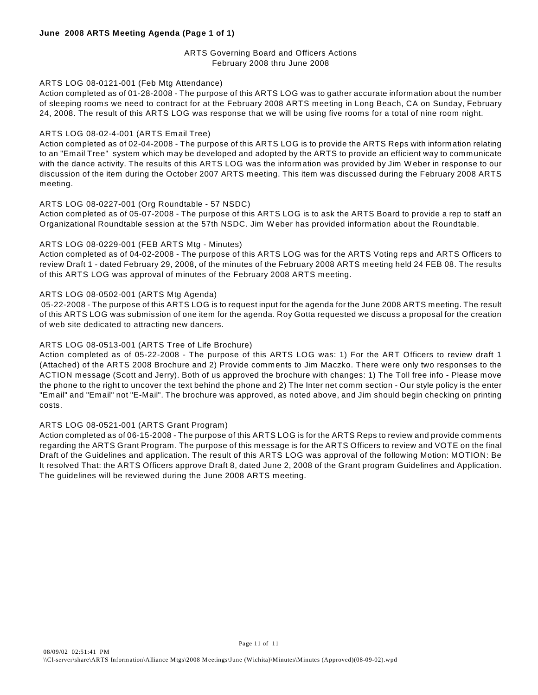### ARTS Governing Board and Officers Actions February 2008 thru June 2008

### ARTS LOG 08-0121-001 (Feb Mtg Attendance)

Action completed as of 01-28-2008 - The purpose of this ARTS LOG was to gather accurate information about the number of sleeping rooms we need to contract for at the February 2008 ARTS meeting in Long Beach, CA on Sunday, February 24, 2008. The result of this ARTS LOG was response that we will be using five rooms for a total of nine room night.

### ARTS LOG 08-02-4-001 (ARTS Email Tree)

Action completed as of 02-04-2008 - The purpose of this ARTS LOG is to provide the ARTS Reps with information relating to an "Email Tree" system which may be developed and adopted by the ARTS to provide an efficient way to communicate with the dance activity. The results of this ARTS LOG was the information was provided by Jim W eber in response to our discussion of the item during the October 2007 ARTS meeting. This item was discussed during the February 2008 ARTS meeting.

### ARTS LOG 08-0227-001 (Org Roundtable - 57 NSDC)

Action completed as of 05-07-2008 - The purpose of this ARTS LOG is to ask the ARTS Board to provide a rep to staff an Organizational Roundtable session at the 57th NSDC. Jim W eber has provided information about the Roundtable.

### ARTS LOG 08-0229-001 (FEB ARTS Mtg - Minutes)

Action completed as of 04-02-2008 - The purpose of this ARTS LOG was for the ARTS Voting reps and ARTS Officers to review Draft 1 - dated February 29, 2008, of the minutes of the February 2008 ARTS meeting held 24 FEB 08. The results of this ARTS LOG was approval of minutes of the February 2008 ARTS meeting.

### ARTS LOG 08-0502-001 (ARTS Mtg Agenda)

 05-22-2008 - The purpose of this ARTS LOG is to request input for the agenda for the June 2008 ARTS meeting. The result of this ARTS LOG was submission of one item for the agenda. Roy Gotta requested we discuss a proposal for the creation of web site dedicated to attracting new dancers.

### ARTS LOG 08-0513-001 (ARTS Tree of Life Brochure)

Action completed as of 05-22-2008 - The purpose of this ARTS LOG was: 1) For the ART Officers to review draft 1 (Attached) of the ARTS 2008 Brochure and 2) Provide comments to Jim Maczko. There were only two responses to the ACTION message (Scott and Jerry). Both of us approved the brochure with changes: 1) The Toll free info - Please move the phone to the right to uncover the text behind the phone and 2) The Inter net comm section - Our style policy is the enter "Email" and "Email" not "E-Mail". The brochure was approved, as noted above, and Jim should begin checking on printing costs.

### ARTS LOG 08-0521-001 (ARTS Grant Program)

Action completed as of 06-15-2008 - The purpose of this ARTS LOG is for the ARTS Reps to review and provide comments regarding the ARTS Grant Program. The purpose of this message is for the ARTS Officers to review and VOTE on the final Draft of the Guidelines and application. The result of this ARTS LOG was approval of the following Motion: MOTION: Be It resolved That: the ARTS Officers approve Draft 8, dated June 2, 2008 of the Grant program Guidelines and Application. The guidelines will be reviewed during the June 2008 ARTS meeting.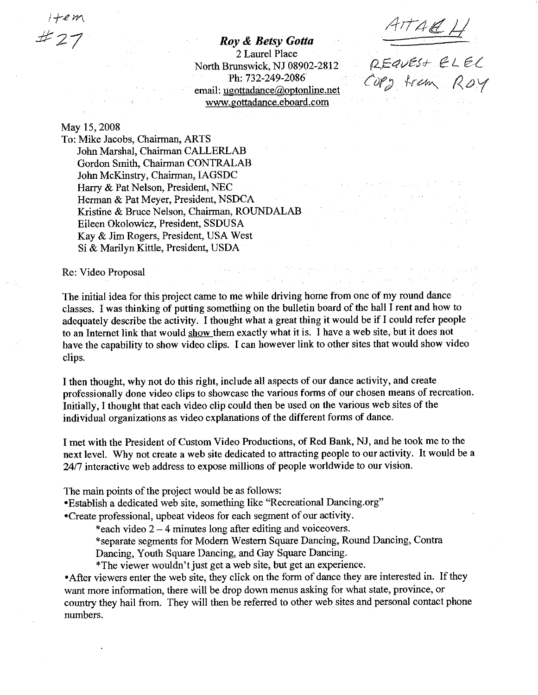Roy & Betsy Gotta 2 Laurel Place North Brunswick, NJ 08902-2812 Ph: 732-249-2086 email: ugottadance@optonline.net www.gottadance.eboard.com

**Contract** 

 $\mathcal{F}(\mathcal{A})$  is a proof of

And the special of the process in application in the constant was in

**Construction Construction** 

and straightform and property of

 $\mathcal{L}^{\text{max}}_{\text{max}}$  and  $\mathcal{L}^{\text{max}}_{\text{max}}$ 

Service State

 $\sim 100$ 

 $\frac{1}{2} \left( \frac{1}{2} \frac{1}{2} \sum_{i=1}^{n} \frac{1}{2} \sum_{i=1}^{n} \frac{1}{2} \sum_{i=1}^{n} \frac{1}{2} \sum_{i=1}^{n} \frac{1}{2} \sum_{i=1}^{n} \frac{1}{2} \sum_{i=1}^{n} \frac{1}{2} \sum_{i=1}^{n} \frac{1}{2} \sum_{i=1}^{n} \frac{1}{2} \sum_{i=1}^{n} \frac{1}{2} \sum_{i=1}^{n} \frac{1}{2} \sum_{i=1}^{n} \frac{1}{2} \sum_{i=1}^{n$ 

 $ATAAL$ 

REQUEST ELEL

OPD tram Roy

### May 15, 2008

 $\mathcal{L}_{\mathcal{A}}$  .

To: Mike Jacobs, Chairman, ARTS John Marshal, Chairman CALLERLAB Gordon Smith, Chairman CONTRALAB John McKinstry, Chairman, IAGSDC Harry & Pat Nelson, President, NEC Herman & Pat Meyer, President, NSDCA  $\mathcal{L}(\mathcal{L}^{(1)})$  and  $\mathcal{L}^{(2)}$ Kristine & Bruce Nelson, Chairman, ROUNDALAB Eileen Okolowicz, President, SSDUSA Kay & Jim Rogers, President, USA West Si & Marilyn Kittle, President, USDA

Re: Video Proposal

The initial idea for this project came to me while driving home from one of my round dance classes. I was thinking of putting something on the bulletin board of the hall I rent and how to adequately describe the activity. I thought what a great thing it would be if I could refer people to an Internet link that would show them exactly what it is. I have a web site, but it does not have the capability to show video clips. I can however link to other sites that would show video clips.

 $\label{eq:2.1} \mathcal{L}(\mathbf{z}^{\prime}) = \mathcal{L}(\mathbf{z}^{\prime}) = \mathcal{L}(\mathbf{z}^{\prime}) = \mathcal{L}(\mathbf{z}^{\prime}) = \mathcal{L}(\mathbf{z}^{\prime})$ 

I then thought, why not do this right, include all aspects of our dance activity, and create professionally done video clips to showcase the various forms of our chosen means of recreation. Initially, I thought that each video clip could then be used on the various web sites of the individual organizations as video explanations of the different forms of dance.

I met with the President of Custom Video Productions, of Red Bank, NJ, and he took me to the next level. Why not create a web site dedicated to attracting people to our activity. It would be a 24/7 interactive web address to expose millions of people worldwide to our vision.

The main points of the project would be as follows:

•Establish a dedicated web site, something like "Recreational Dancing.org"

•Create professional, upbeat videos for each segment of our activity.

\*each video  $2 - 4$  minutes long after editing and voiceovers.

\*separate segments for Modern Western Square Dancing, Round Dancing, Contra

Dancing, Youth Square Dancing, and Gay Square Dancing.

\*The viewer wouldn't just get a web site, but get an experience.

• After viewers enter the web site, they click on the form of dance they are interested in. If they want more information, there will be drop down menus asking for what state, province, or country they hail from. They will then be referred to other web sites and personal contact phone numbers.